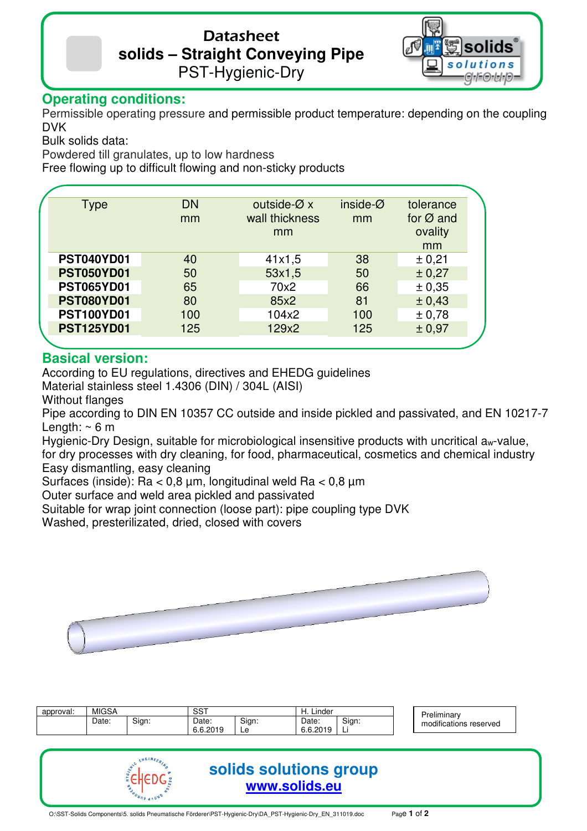# Datasheet **solids – Straight Conveying Pipe**  PST-Hygienic-Dry



## **Operating conditions:**

Permissible operating pressure and permissible product temperature: depending on the coupling DVK

Bulk solids data:

Powdered till granulates, up to low hardness

Free flowing up to difficult flowing and non-sticky products

| <b>Type</b>       | <b>DN</b> | outside- $\varnothing$ x | inside- $Ø$ | tolerance             |
|-------------------|-----------|--------------------------|-------------|-----------------------|
|                   | mm        | wall thickness<br>mm     |             | for $\varnothing$ and |
|                   |           | mm                       |             | ovality               |
|                   |           |                          |             | mm                    |
| <b>PST040YD01</b> | 40        | 41x1,5                   | 38          | ± 0,21                |
| <b>PST050YD01</b> | 50        | 53x1,5                   | 50          | ± 0,27                |
| <b>PST065YD01</b> | 65        | 70x2                     | 66          | ± 0,35                |
| <b>PST080YD01</b> | 80        | 85x2                     | 81          | ± 0,43                |
| <b>PST100YD01</b> | 100       | 104x2                    | 100         | ± 0,78                |
| <b>PST125YD01</b> | 125       | 129x2                    | 125         | ± 0,97                |
|                   |           |                          |             |                       |

### **Basical version:**

According to EU regulations, directives and EHEDG guidelines

Material stainless steel 1.4306 (DIN) / 304L (AISI)

Without flanges

Pipe according to DIN EN 10357 CC outside and inside pickled and passivated, and EN 10217-7 Length:  $\sim$  6 m

Hygienic-Dry Design, suitable for microbiological insensitive products with uncritical aw-value. for dry processes with dry cleaning, for food, pharmaceutical, cosmetics and chemical industry Easy dismantling, easy cleaning

Surfaces (inside): Ra < 0,8 µm, longitudinal weld Ra < 0,8 µm

Outer surface and weld area pickled and passivated

Suitable for wrap joint connection (loose part): pipe coupling type DVK

Washed, presterilizated, dried, closed with covers



| approval: | <b>MIGSA</b> |       | $\sim$ $\sim$ $\sim$<br>ວວ                     |            | ∟inder<br>. .     |             | $\cdots$<br>Preliminarv |                            |
|-----------|--------------|-------|------------------------------------------------|------------|-------------------|-------------|-------------------------|----------------------------|
|           | Date:        | Sian: | Date:<br>2019<br>$\sim$ $\sim$<br>0. U. LU I J | Sign:<br>∽ | Date:<br>6.6.2019 | Sign:<br>ъ. |                         | <br>modifications reserved |